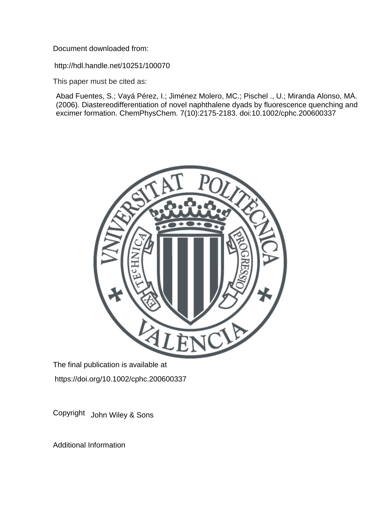Document downloaded from:

http://hdl.handle.net/10251/100070

This paper must be cited as:

Abad Fuentes, S.; Vayá Pérez, I.; Jiménez Molero, MC.; Pischel ., U.; Miranda Alonso, MÁ. (2006). Diastereodifferentiation of novel naphthalene dyads by fluorescence quenching and excimer formation. ChemPhysChem. 7(10):2175-2183. doi:10.1002/cphc.200600337



The final publication is available at https://doi.org/10.1002/cphc.200600337

Copyright John Wiley & Sons

Additional Information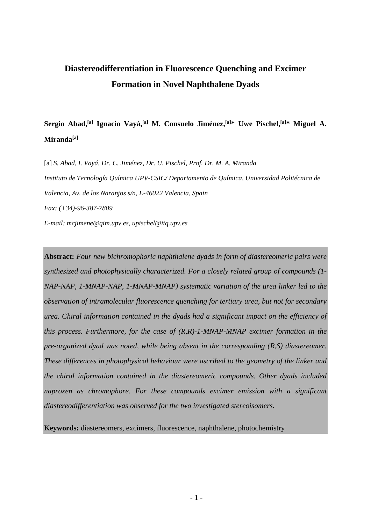# **Diastereodifferentiation in Fluorescence Quenching and Excimer Formation in Novel Naphthalene Dyads**

**Sergio Abad,[a] Ignacio Vayá,[a] M. Consuelo Jiménez,[a]\* Uwe Pischel,[a]\* Miguel A. Miranda[a]**

[a] *S. Abad, I. Vayá, Dr. C. Jiménez, Dr. U. Pischel, Prof. Dr. M. A. Miranda Instituto de Tecnología Química UPV-CSIC/ Departamento de Química, Universidad Politécnica de Valencia, Av. de los Naranjos s/n, E-46022 Valencia, Spain Fax: (+34)-96-387-7809 E-mail: [mcjimene@qim.upv.es,](mailto:mcjimene@qim.upv.es) [upischel@itq.upv.es](mailto:upischel@itq.upv.es)*

**Abstract:** *Four new bichromophoric naphthalene dyads in form of diastereomeric pairs were synthesized and photophysically characterized. For a closely related group of compounds (1- NAP-NAP, 1-MNAP-NAP, 1-MNAP-MNAP) systematic variation of the urea linker led to the observation of intramolecular fluorescence quenching for tertiary urea, but not for secondary urea. Chiral information contained in the dyads had a significant impact on the efficiency of this process. Furthermore, for the case of (R,R)-1-MNAP-MNAP excimer formation in the pre-organized dyad was noted, while being absent in the corresponding (R,S) diastereomer. These differences in photophysical behaviour were ascribed to the geometry of the linker and the chiral information contained in the diastereomeric compounds. Other dyads included naproxen as chromophore. For these compounds excimer emission with a significant diastereodifferentiation was observed for the two investigated stereoisomers.*

**Keywords:** diastereomers, excimers, fluorescence, naphthalene, photochemistry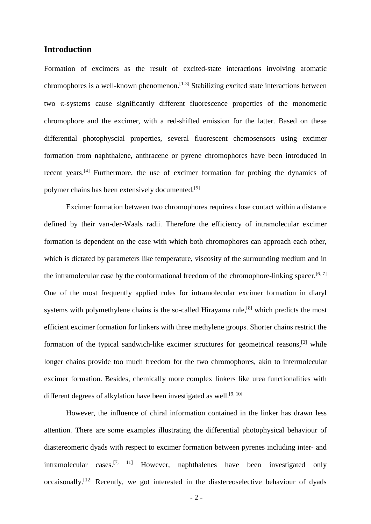# **Introduction**

Formation of excimers as the result of excited-state interactions involving aromatic chromophores is a well-known phenomenon.<sup>[1-3]</sup> Stabilizing excited state interactions between two π-systems cause significantly different fluorescence properties of the monomeric chromophore and the excimer, with a red-shifted emission for the latter. Based on these differential photophyscial properties, several fluorescent chemosensors using excimer formation from naphthalene, anthracene or pyrene chromophores have been introduced in recent years.<sup>[4]</sup> Furthermore, the use of excimer formation for probing the dynamics of polymer chains has been extensively documented.<sup>[5]</sup>

Excimer formation between two chromophores requires close contact within a distance defined by their van-der-Waals radii. Therefore the efficiency of intramolecular excimer formation is dependent on the ease with which both chromophores can approach each other, which is dictated by parameters like temperature, viscosity of the surrounding medium and in the intramolecular case by the conformational freedom of the chromophore-linking spacer.<sup>[6, 7]</sup> One of the most frequently applied rules for intramolecular excimer formation in diaryl systems with polymethylene chains is the so-called Hirayama rule,<sup>[8]</sup> which predicts the most efficient excimer formation for linkers with three methylene groups. Shorter chains restrict the formation of the typical sandwich-like excimer structures for geometrical reasons,<sup>[3]</sup> while longer chains provide too much freedom for the two chromophores, akin to intermolecular excimer formation. Besides, chemically more complex linkers like urea functionalities with different degrees of alkylation have been investigated as well.<sup>[9, 10]</sup>

However, the influence of chiral information contained in the linker has drawn less attention. There are some examples illustrating the differential photophysical behaviour of diastereomeric dyads with respect to excimer formation between pyrenes including inter- and intramolecular cases.<sup>[7, 11]</sup> However, naphthalenes have been investigated only occaisonally.[12] Recently, we got interested in the diastereoselective behaviour of dyads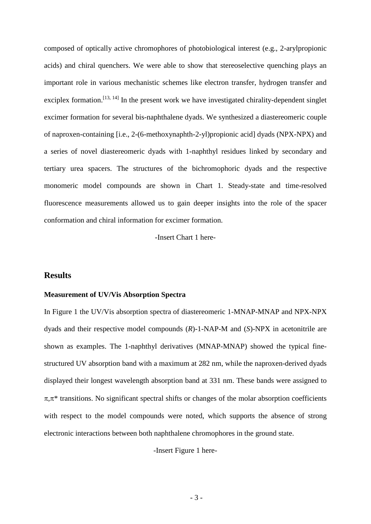composed of optically active chromophores of photobiological interest (e.g., 2-arylpropionic acids) and chiral quenchers. We were able to show that stereoselective quenching plays an important role in various mechanistic schemes like electron transfer, hydrogen transfer and exciplex formation.<sup>[13, 14]</sup> In the present work we have investigated chirality-dependent singlet excimer formation for several bis-naphthalene dyads. We synthesized a diastereomeric couple of naproxen-containing [i.e., 2-(6-methoxynaphth-2-yl)propionic acid] dyads (NPX-NPX) and a series of novel diastereomeric dyads with 1-naphthyl residues linked by secondary and tertiary urea spacers. The structures of the bichromophoric dyads and the respective monomeric model compounds are shown in Chart 1. Steady-state and time-resolved fluorescence measurements allowed us to gain deeper insights into the role of the spacer conformation and chiral information for excimer formation.

-Insert Chart 1 here-

#### **Results**

#### **Measurement of UV/Vis Absorption Spectra**

In Figure 1 the UV/Vis absorption spectra of diastereomeric 1-MNAP-MNAP and NPX-NPX dyads and their respective model compounds (*R*)-1-NAP-M and (*S*)-NPX in acetonitrile are shown as examples. The 1-naphthyl derivatives (MNAP-MNAP) showed the typical finestructured UV absorption band with a maximum at 282 nm, while the naproxen-derived dyads displayed their longest wavelength absorption band at 331 nm. These bands were assigned to  $\pi,\pi^*$  transitions. No significant spectral shifts or changes of the molar absorption coefficients with respect to the model compounds were noted, which supports the absence of strong electronic interactions between both naphthalene chromophores in the ground state.

-Insert Figure 1 here-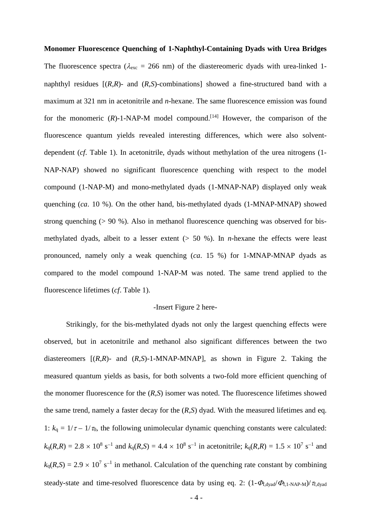#### **Monomer Fluorescence Quenching of 1-Naphthyl-Containing Dyads with Urea Bridges**

The fluorescence spectra ( $\lambda_{\text{exc}}$  = 266 nm) of the diastereomeric dyads with urea-linked 1naphthyl residues  $[(R,R)$ - and  $(R,S)$ -combinations] showed a fine-structured band with a maximum at 321 nm in acetonitrile and *n*-hexane. The same fluorescence emission was found for the monomeric  $(R)$ -1-NAP-M model compound.<sup>[14]</sup> However, the comparison of the fluorescence quantum yields revealed interesting differences, which were also solventdependent (*cf*. Table 1). In acetonitrile, dyads without methylation of the urea nitrogens (1- NAP-NAP) showed no significant fluorescence quenching with respect to the model compound (1-NAP-M) and mono-methylated dyads (1-MNAP-NAP) displayed only weak quenching (*ca*. 10 %). On the other hand, bis-methylated dyads (1-MNAP-MNAP) showed strong quenching  $(> 90 \%)$ . Also in methanol fluorescence quenching was observed for bismethylated dyads, albeit to a lesser extent (> 50 %). In *n*-hexane the effects were least pronounced, namely only a weak quenching (*ca*. 15 %) for 1-MNAP-MNAP dyads as compared to the model compound 1-NAP-M was noted. The same trend applied to the fluorescence lifetimes (*cf*. Table 1).

#### -Insert Figure 2 here-

Strikingly, for the bis-methylated dyads not only the largest quenching effects were observed, but in acetonitrile and methanol also significant differences between the two diastereomers  $[(R,R)$ - and  $(R,S)$ -1-MNAP-MNAP], as shown in Figure 2. Taking the measured quantum yields as basis, for both solvents a two-fold more efficient quenching of the monomer fluorescence for the (*R*,*S*) isomer was noted. The fluorescence lifetimes showed the same trend, namely a faster decay for the (*R*,*S*) dyad. With the measured lifetimes and eq. 1:  $k_q = 1/\tau - 1/\tau_0$ , the following unimolecular dynamic quenching constants were calculated:  $k_q(R,R) = 2.8 \times 10^8$  s<sup>-1</sup> and  $k_q(R,S) = 4.4 \times 10^8$  s<sup>-1</sup> in acetonitrile;  $k_q(R,R) = 1.5 \times 10^7$  s<sup>-1</sup> and  $k_q(R,S) = 2.9 \times 10^7$  s<sup>-1</sup> in methanol. Calculation of the quenching rate constant by combining steady-state and time-resolved fluorescence data by using eq. 2:  $(1-\Phi_{\text{fdvad}}/\Phi_{\text{f,1-NAP-M}})/\tau_{\text{fdvad}}$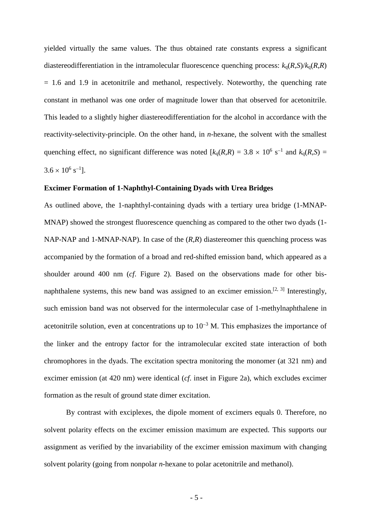yielded virtually the same values. The thus obtained rate constants express a significant diastereodifferentiation in the intramolecular fluorescence quenching process:  $k_q(R,S)/k_q(R,R)$ = 1.6 and 1.9 in acetonitrile and methanol, respectively. Noteworthy, the quenching rate constant in methanol was one order of magnitude lower than that observed for acetonitrile. This leaded to a slightly higher diastereodifferentiation for the alcohol in accordance with the reactivity-selectivity-principle. On the other hand, in *n*-hexane, the solvent with the smallest quenching effect, no significant difference was noted  $[k_0(R,R) = 3.8 \times 10^6 \text{ s}^{-1}$  and  $k_0(R,S) =$  $3.6 \times 10^6$  s<sup>-1</sup>].

### **Excimer Formation of 1-Naphthyl-Containing Dyads with Urea Bridges**

As outlined above, the 1-naphthyl-containing dyads with a tertiary urea bridge (1-MNAP-MNAP) showed the strongest fluorescence quenching as compared to the other two dyads (1- NAP-NAP and 1-MNAP-NAP). In case of the  $(R,R)$  diastereomer this quenching process was accompanied by the formation of a broad and red-shifted emission band, which appeared as a shoulder around 400 nm (*cf*. Figure 2). Based on the observations made for other bisnaphthalene systems, this new band was assigned to an excimer emission.<sup>[2, 3]</sup> Interestingly, such emission band was not observed for the intermolecular case of 1-methylnaphthalene in acetonitrile solution, even at concentrations up to  $10^{-3}$  M. This emphasizes the importance of the linker and the entropy factor for the intramolecular excited state interaction of both chromophores in the dyads. The excitation spectra monitoring the monomer (at 321 nm) and excimer emission (at 420 nm) were identical (*cf*. inset in Figure 2a), which excludes excimer formation as the result of ground state dimer excitation.

By contrast with exciplexes, the dipole moment of excimers equals 0. Therefore, no solvent polarity effects on the excimer emission maximum are expected. This supports our assignment as verified by the invariability of the excimer emission maximum with changing solvent polarity (going from nonpolar *n*-hexane to polar acetonitrile and methanol).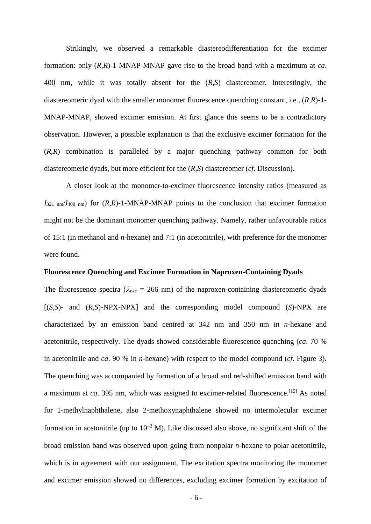Strikingly, we observed a remarkable diastereodifferentiation for the excimer formation: only (*R*,*R*)-1-MNAP-MNAP gave rise to the broad band with a maximum at *ca*. 400 nm, while it was totally absent for the (*R*,*S*) diastereomer. Interestingly, the diastereomeric dyad with the smaller monomer fluorescence quenching constant, i.e., (*R*,*R*)-1- MNAP-MNAP, showed excimer emission. At first glance this seems to be a contradictory observation. However, a possible explanation is that the exclusive excimer formation for the (*R*,*R*) combination is paralleled by a major quenching pathway common for both diastereomeric dyads, but more efficient for the (*R*,*S*) diastereomer (*cf*. Discussion).

A closer look at the monomer-to-excimer fluorescence intensity ratios (measured as  $I_{321 \text{ nm}}/I_{400 \text{ nm}}$  for  $(R,R)$ -1-MNAP-MNAP points to the conclusion that excimer formation might not be the dominant monomer quenching pathway. Namely, rather unfavourable ratios of 15:1 (in methanol and *n*-hexane) and 7:1 (in acetonitrile), with preference for the monomer were found.

#### **Fluorescence Quenching and Excimer Formation in Naproxen-Containing Dyads**

The fluorescence spectra ( $\lambda_{\text{exc}}$  = 266 nm) of the naproxen-containing diastereomeric dyads [(*S*,*S*)- and (*R*,*S*)-NPX-NPX] and the corresponding model compound (*S*)-NPX are characterized by an emission band centred at 342 nm and 350 nm in *n*-hexane and acetonitrile, respectively. The dyads showed considerable fluorescence quenching (*ca*. 70 % in acetonitrile and *ca*. 90 % in *n*-hexane) with respect to the model compound (*cf*. Figure 3). The quenching was accompanied by formation of a broad and red-shifted emission band with a maximum at *ca*. 395 nm, which was assigned to excimer-related fluorescence.<sup>[15]</sup> As noted for 1-methylnaphthalene, also 2-methoxynaphthalene showed no intermolecular excimer formation in acetonitrile (up to  $10^{-3}$  M). Like discussed also above, no significant shift of the broad emission band was observed upon going from nonpolar *n*-hexane to polar acetonitrile, which is in agreement with our assignment. The excitation spectra monitoring the monomer and excimer emission showed no differences, excluding excimer formation by excitation of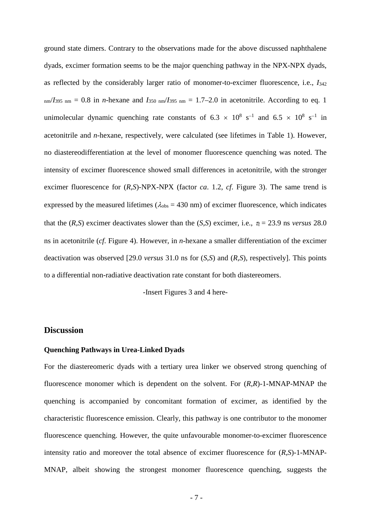ground state dimers. Contrary to the observations made for the above discussed naphthalene dyads, excimer formation seems to be the major quenching pathway in the NPX-NPX dyads, as reflected by the considerably larger ratio of monomer-to-excimer fluorescence, i.e., *I*<sup>342</sup>  $_{nm}/I_{395 \text{ nm}} = 0.8$  in *n*-hexane and  $I_{350 \text{ nm}}/I_{395 \text{ nm}} = 1.7{\text -}2.0$  in acetonitrile. According to eq. 1 unimolecular dynamic quenching rate constants of 6.3 × 10<sup>8</sup> s<sup>-1</sup> and 6.5 × 10<sup>8</sup> s<sup>-1</sup> in acetonitrile and *n*-hexane, respectively, were calculated (see lifetimes in Table 1). However, no diastereodifferentiation at the level of monomer fluorescence quenching was noted. The intensity of excimer fluorescence showed small differences in acetonitrile, with the stronger excimer fluorescence for (*R*,*S*)-NPX-NPX (factor *ca*. 1.2, *cf*. Figure 3). The same trend is expressed by the measured lifetimes ( $\lambda_{obs}$  = 430 nm) of excimer fluorescence, which indicates that the  $(R, S)$  excimer deactivates slower than the  $(S, S)$  excimer, i.e.,  $\tau_f = 23.9$  ns *versus* 28.0 ns in acetonitrile (*cf*. Figure 4). However, in *n*-hexane a smaller differentiation of the excimer deactivation was observed [29.0 *versus* 31.0 ns for (*S*,*S*) and (*R,S*), respectively]. This points to a differential non-radiative deactivation rate constant for both diastereomers.

-Insert Figures 3 and 4 here-

## **Discussion**

#### **Quenching Pathways in Urea-Linked Dyads**

For the diastereomeric dyads with a tertiary urea linker we observed strong quenching of fluorescence monomer which is dependent on the solvent. For (*R*,*R*)-1-MNAP-MNAP the quenching is accompanied by concomitant formation of excimer, as identified by the characteristic fluorescence emission. Clearly, this pathway is one contributor to the monomer fluorescence quenching. However, the quite unfavourable monomer-to-excimer fluorescence intensity ratio and moreover the total absence of excimer fluorescence for (*R*,*S*)-1-MNAP-MNAP, albeit showing the strongest monomer fluorescence quenching, suggests the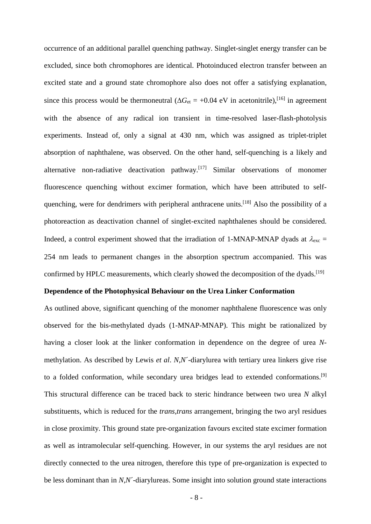occurrence of an additional parallel quenching pathway. Singlet-singlet energy transfer can be excluded, since both chromophores are identical. Photoinduced electron transfer between an excited state and a ground state chromophore also does not offer a satisfying explanation, since this process would be thermoneutral ( $\Delta G_{\text{et}} = +0.04 \text{ eV}$  in acetonitrile),<sup>[16]</sup> in agreement with the absence of any radical ion transient in time-resolved laser-flash-photolysis experiments. Instead of, only a signal at 430 nm, which was assigned as triplet-triplet absorption of naphthalene, was observed. On the other hand, self-quenching is a likely and alternative non-radiative deactivation pathway.<sup>[17]</sup> Similar observations of monomer fluorescence quenching without excimer formation, which have been attributed to selfquenching, were for dendrimers with peripheral anthracene units.<sup>[18]</sup> Also the possibility of a photoreaction as deactivation channel of singlet-excited naphthalenes should be considered. Indeed, a control experiment showed that the irradiation of 1-MNAP-MNAP dyads at  $\lambda_{\text{exc}} =$ 254 nm leads to permanent changes in the absorption spectrum accompanied. This was confirmed by HPLC measurements, which clearly showed the decomposition of the dyads.<sup>[19]</sup>

## **Dependence of the Photophysical Behaviour on the Urea Linker Conformation**

As outlined above, significant quenching of the monomer naphthalene fluorescence was only observed for the bis-methylated dyads (1-MNAP-MNAP). This might be rationalized by having a closer look at the linker conformation in dependence on the degree of urea *N*methylation. As described by Lewis *et al*. *N*,*N*´-diarylurea with tertiary urea linkers give rise to a folded conformation, while secondary urea bridges lead to extended conformations.<sup>[9]</sup> This structural difference can be traced back to steric hindrance between two urea *N* alkyl substituents, which is reduced for the *trans*,*trans* arrangement, bringing the two aryl residues in close proximity. This ground state pre-organization favours excited state excimer formation as well as intramolecular self-quenching. However, in our systems the aryl residues are not directly connected to the urea nitrogen, therefore this type of pre-organization is expected to be less dominant than in *N*,*N*´-diarylureas. Some insight into solution ground state interactions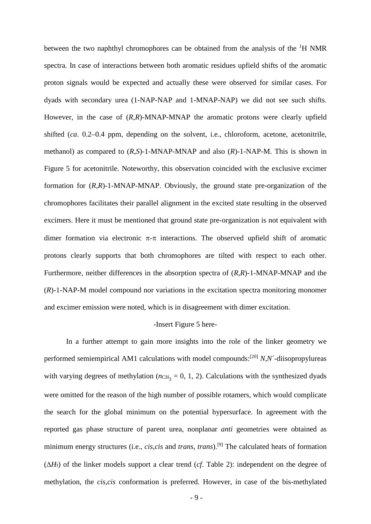between the two naphthyl chromophores can be obtained from the analysis of the <sup>1</sup>H NMR spectra. In case of interactions between both aromatic residues upfield shifts of the aromatic proton signals would be expected and actually these were observed for similar cases. For dyads with secondary urea (1-NAP-NAP and 1-MNAP-NAP) we did not see such shifts. However, in the case of (*R*,*R*)-MNAP-MNAP the aromatic protons were clearly upfield shifted (*ca*. 0.2–0.4 ppm, depending on the solvent, i.e., chloroform, acetone, acetonitrile, methanol) as compared to (*R*,*S*)-1-MNAP-MNAP and also (*R*)-1-NAP-M. This is shown in Figure 5 for acetonitrile. Noteworthy, this observation coincided with the exclusive excimer formation for (*R*,*R*)-1-MNAP-MNAP. Obviously, the ground state pre-organization of the chromophores facilitates their parallel alignment in the excited state resulting in the observed excimers. Here it must be mentioned that ground state pre-organization is not equivalent with dimer formation via electronic  $\pi$ - $\pi$  interactions. The observed upfield shift of aromatic protons clearly supports that both chromophores are tilted with respect to each other. Furthermore, neither differences in the absorption spectra of (*R*,*R*)-1-MNAP-MNAP and the (*R*)-1-NAP-M model compound nor variations in the excitation spectra monitoring monomer and excimer emission were noted, which is in disagreement with dimer excitation.

#### -Insert Figure 5 here-

In a further attempt to gain more insights into the role of the linker geometry we performed semiempirical AM1 calculations with model compounds:[20] *N*,*N*´-diisopropylureas with varying degrees of methylation ( $n_{\text{CH}_3} = 0, 1, 2$ ). Calculations with the synthesized dyads were omitted for the reason of the high number of possible rotamers, which would complicate the search for the global minimum on the potential hypersurface. In agreement with the reported gas phase structure of parent urea, nonplanar *anti* geometries were obtained as minimum energy structures (i.e., *cis*,*cis* and *trans*, *trans*). [9] The calculated heats of formation (∆*H*f) of the linker models support a clear trend (*cf*. Table 2): independent on the degree of methylation, the *cis*,*cis* conformation is preferred. However, in case of the bis-methylated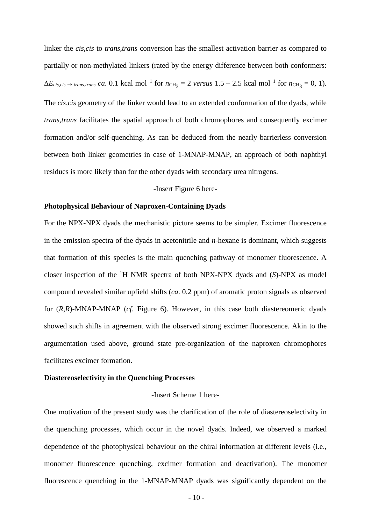linker the *cis*,*cis* to *trans*,*trans* conversion has the smallest activation barrier as compared to partially or non-methylated linkers (rated by the energy difference between both conformers:  $\Delta E_{cis,cis} \rightarrow$  *trans,trans ca*. 0.1 kcal mol<sup>-1</sup> for  $n_{\text{CH}_3} = 2$  *versus* 1.5 – 2.5 kcal mol<sup>-1</sup> for  $n_{\text{CH}_3} = 0$ , 1). The *cis*,*cis* geometry of the linker would lead to an extended conformation of the dyads, while *trans*,*trans* facilitates the spatial approach of both chromophores and consequently excimer formation and/or self-quenching. As can be deduced from the nearly barrierless conversion between both linker geometries in case of 1-MNAP-MNAP, an approach of both naphthyl residues is more likely than for the other dyads with secondary urea nitrogens.

#### -Insert Figure 6 here-

#### **Photophysical Behaviour of Naproxen-Containing Dyads**

For the NPX-NPX dyads the mechanistic picture seems to be simpler. Excimer fluorescence in the emission spectra of the dyads in acetonitrile and *n*-hexane is dominant, which suggests that formation of this species is the main quenching pathway of monomer fluorescence. A closer inspection of the <sup>1</sup> H NMR spectra of both NPX-NPX dyads and (*S*)-NPX as model compound revealed similar upfield shifts (*ca*. 0.2 ppm) of aromatic proton signals as observed for (*R*,*R*)-MNAP-MNAP (*cf*. Figure 6). However, in this case both diastereomeric dyads showed such shifts in agreement with the observed strong excimer fluorescence. Akin to the argumentation used above, ground state pre-organization of the naproxen chromophores facilitates excimer formation.

## **Diastereoselectivity in the Quenching Processes**

#### -Insert Scheme 1 here-

One motivation of the present study was the clarification of the role of diastereoselectivity in the quenching processes, which occur in the novel dyads. Indeed, we observed a marked dependence of the photophysical behaviour on the chiral information at different levels (i.e., monomer fluorescence quenching, excimer formation and deactivation). The monomer fluorescence quenching in the 1-MNAP-MNAP dyads was significantly dependent on the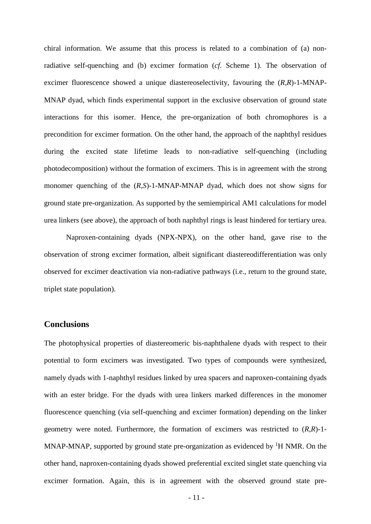chiral information. We assume that this process is related to a combination of (a) nonradiative self-quenching and (b) excimer formation (*cf*. Scheme 1). The observation of excimer fluorescence showed a unique diastereoselectivity, favouring the (*R*,*R*)-1-MNAP-MNAP dyad, which finds experimental support in the exclusive observation of ground state interactions for this isomer. Hence, the pre-organization of both chromophores is a precondition for excimer formation. On the other hand, the approach of the naphthyl residues during the excited state lifetime leads to non-radiative self-quenching (including photodecomposition) without the formation of excimers. This is in agreement with the strong monomer quenching of the  $(R, S)$ -1-MNAP-MNAP dyad, which does not show signs for ground state pre-organization. As supported by the semiempirical AM1 calculations for model urea linkers (see above), the approach of both naphthyl rings is least hindered for tertiary urea.

Naproxen-containing dyads (NPX-NPX), on the other hand, gave rise to the observation of strong excimer formation, albeit significant diastereodifferentiation was only observed for excimer deactivation via non-radiative pathways (i.e., return to the ground state, triplet state population).

## **Conclusions**

The photophysical properties of diastereomeric bis-naphthalene dyads with respect to their potential to form excimers was investigated. Two types of compounds were synthesized, namely dyads with 1-naphthyl residues linked by urea spacers and naproxen-containing dyads with an ester bridge. For the dyads with urea linkers marked differences in the monomer fluorescence quenching (via self-quenching and excimer formation) depending on the linker geometry were noted. Furthermore, the formation of excimers was restricted to (*R*,*R*)-1- MNAP-MNAP, supported by ground state pre-organization as evidenced by  ${}^{1}H$  NMR. On the other hand, naproxen-containing dyads showed preferential excited singlet state quenching via excimer formation. Again, this is in agreement with the observed ground state pre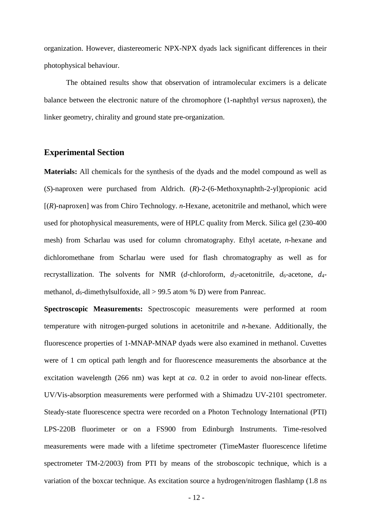organization. However, diastereomeric NPX-NPX dyads lack significant differences in their photophysical behaviour.

The obtained results show that observation of intramolecular excimers is a delicate balance between the electronic nature of the chromophore (1-naphthyl *versus* naproxen), the linker geometry, chirality and ground state pre-organization.

## **Experimental Section**

**Materials:** All chemicals for the synthesis of the dyads and the model compound as well as (*S*)-naproxen were purchased from Aldrich. (*R*)-2-(6-Methoxynaphth-2-yl)propionic acid [(*R*)-naproxen] was from Chiro Technology. *n*-Hexane, acetonitrile and methanol, which were used for photophysical measurements, were of HPLC quality from Merck. Silica gel (230-400 mesh) from Scharlau was used for column chromatography. Ethyl acetate, *n*-hexane and dichloromethane from Scharlau were used for flash chromatography as well as for recrystallization. The solvents for NMR (*d*-chloroform, *d*<sub>3</sub>-acetonitrile, *d*<sub>6</sub>-acetone, *d*<sub>4</sub>methanol,  $d_6$ -dimethylsulfoxide, all > 99.5 atom % D) were from Panreac.

**Spectroscopic Measurements:** Spectroscopic measurements were performed at room temperature with nitrogen-purged solutions in acetonitrile and *n*-hexane. Additionally, the fluorescence properties of 1-MNAP-MNAP dyads were also examined in methanol. Cuvettes were of 1 cm optical path length and for fluorescence measurements the absorbance at the excitation wavelength (266 nm) was kept at *ca*. 0.2 in order to avoid non-linear effects. UV/Vis-absorption measurements were performed with a Shimadzu UV-2101 spectrometer. Steady-state fluorescence spectra were recorded on a Photon Technology International (PTI) LPS-220B fluorimeter or on a FS900 from Edinburgh Instruments. Time-resolved measurements were made with a lifetime spectrometer (TimeMaster fluorescence lifetime spectrometer TM-2/2003) from PTI by means of the stroboscopic technique, which is a variation of the boxcar technique. As excitation source a hydrogen/nitrogen flashlamp (1.8 ns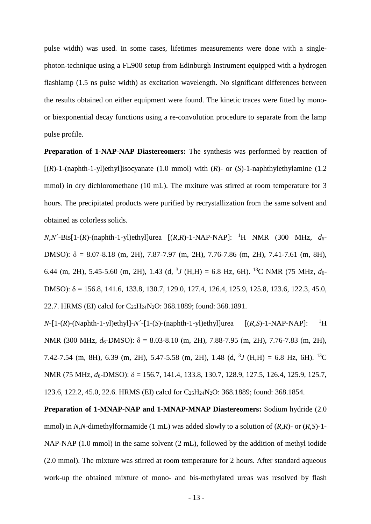pulse width) was used. In some cases, lifetimes measurements were done with a singlephoton-technique using a FL900 setup from Edinburgh Instrument equipped with a hydrogen flashlamp (1.5 ns pulse width) as excitation wavelength. No significant differences between the results obtained on either equipment were found. The kinetic traces were fitted by monoor biexponential decay functions using a re-convolution procedure to separate from the lamp pulse profile.

**Preparation of 1-NAP-NAP Diastereomers:** The synthesis was performed by reaction of [(*R*)-1-(naphth-1-yl)ethyl]isocyanate (1.0 mmol) with (*R*)- or (*S*)-1-naphthylethylamine (1.2 mmol) in dry dichloromethane (10 mL). The mxiture was stirred at room temperature for 3 hours. The precipitated products were purified by recrystallization from the same solvent and obtained as colorless solids.

*N*,*N*´-Bis[1-(*R*)-(naphth-1-yl)ethyl]urea [(*R*,*R*)-1-NAP-NAP]: <sup>1</sup> H NMR (300 MHz, *d*6- DMSO): δ = 8.07-8.18 (m, 2H), 7.87-7.97 (m, 2H), 7.76-7.86 (m, 2H), 7.41-7.61 (m, 8H), 6.44 (m, 2H), 5.45-5.60 (m, 2H), 1.43 (d, <sup>3</sup>J (H,H) = 6.8 Hz, 6H). <sup>13</sup>C NMR (75 MHz,  $d_6$ -DMSO): δ = 156.8, 141.6, 133.8, 130.7, 129.0, 127.4, 126.4, 125.9, 125.8, 123.6, 122.3, 45.0, 22.7. HRMS (EI) calcd for C<sub>25</sub>H<sub>24</sub>N<sub>2</sub>O: 368.1889; found: 368.1891.

*N*-[1-(*R*)-(Naphth-1-yl)ethyl]-*N*´-[1-(*S*)-(naphth-1-yl)ethyl]urea [(*R,S*)-1-NAP-NAP]: <sup>1</sup>  $\rm ^1H$ NMR (300 MHz, *d*<sub>6</sub>-DMSO): δ = 8.03-8.10 (m, 2H), 7.88-7.95 (m, 2H), 7.76-7.83 (m, 2H), 7.42-7.54 (m, 8H), 6.39 (m, 2H), 5.47-5.58 (m, 2H), 1.48 (d, <sup>3</sup>J (H,H) = 6.8 Hz, 6H). <sup>13</sup>C NMR (75 MHz, *d*<sub>6</sub>-DMSO): δ = 156.7, 141.4, 133.8, 130.7, 128.9, 127.5, 126.4, 125.9, 125.7, 123.6, 122.2, 45.0, 22.6. HRMS (EI) calcd for C25H24N2O: 368.1889; found: 368.1854.

**Preparation of 1-MNAP-NAP and 1-MNAP-MNAP Diastereomers:** Sodium hydride (2.0 mmol) in *N*,*N*-dimethylformamide (1 mL) was added slowly to a solution of (*R,R*)- or (*R,S*)-1- NAP-NAP (1.0 mmol) in the same solvent (2 mL), followed by the addition of methyl iodide (2.0 mmol). The mixture was stirred at room temperature for 2 hours. After standard aqueous work-up the obtained mixture of mono- and bis-methylated ureas was resolved by flash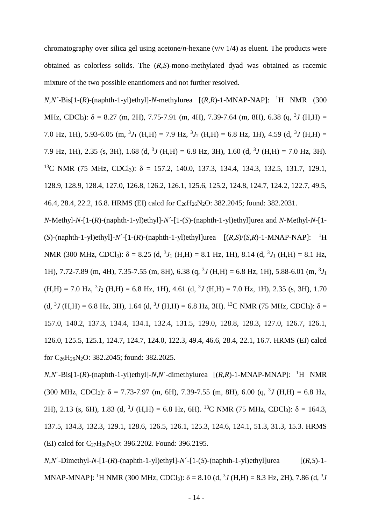chromatography over silica gel using acetone/*n*-hexane (v/v 1/4) as eluent. The products were obtained as colorless solids. The (*R*,*S*)-mono-methylated dyad was obtained as racemic mixture of the two possible enantiomers and not further resolved.

*N,N*<sup>-</sup>Bis[1-(*R*)-(naphth-1-yl)ethyl]-*N*-methylurea [(*R,R*)-1-MNAP-NAP]: <sup>1</sup>H NMR (300 MHz, CDCl<sub>3</sub>):  $\delta = 8.27$  (m, 2H), 7.75-7.91 (m, 4H), 7.39-7.64 (m, 8H), 6.38 (q, <sup>3</sup>J (H,H) = 7.0 Hz, 1H), 5.93-6.05 (m,  ${}^{3}J_1$  (H,H) = 7.9 Hz,  ${}^{3}J_2$  (H,H) = 6.8 Hz, 1H), 4.59 (d,  ${}^{3}J$  (H,H) = 7.9 Hz, 1H), 2.35 (s, 3H), 1.68 (d, <sup>3</sup> *J* (H,H) = 6.8 Hz, 3H), 1.60 (d, <sup>3</sup> *J* (H,H) = 7.0 Hz, 3H). <sup>13</sup>C NMR (75 MHz, CDCl<sub>3</sub>): δ = 157.2, 140.0, 137.3, 134.4, 134.3, 132.5, 131.7, 129.1, 128.9, 128.9, 128.4, 127.0, 126.8, 126.2, 126.1, 125.6, 125.2, 124.8, 124.7, 124.2, 122.7, 49.5, 46.4, 28.4, 22.2, 16.8. HRMS (EI) calcd for C26H26N2O: 382.2045; found: 382.2031.

*N*-Methyl-*N*-[1-(*R*)-(naphth-1-yl)ethyl]-*N*´-[1-(*S*)-(naphth-1-yl)ethyl]urea and *N*-Methyl-*N*-[1- (*S*)-(naphth-1-yl)ethyl]-*N*´-[1-(*R*)-(naphth-1-yl)ethyl]urea [(*R,S*)/(*S*,*R*)-1-MNAP-NAP]: <sup>1</sup> H NMR (300 MHz, CDCl<sub>3</sub>):  $\delta = 8.25$  (d,  ${}^{3}J_{1}$  (H,H) = 8.1 Hz, 1H), 8.14 (d,  ${}^{3}J_{1}$  (H,H) = 8.1 Hz, 1H), 7.72-7.89 (m, 4H), 7.35-7.55 (m, 8H), 6.38 (q, <sup>3</sup>J (H,H) = 6.8 Hz, 1H), 5.88-6.01 (m, <sup>3</sup>J<sub>1</sub>  $(H,H) = 7.0$  Hz,  $^{3}J_{2}$  (H,H) = 6.8 Hz, 1H), 4.61 (d,  $^{3}J$  (H,H) = 7.0 Hz, 1H), 2.35 (s, 3H), 1.70  $(d, {}^{3}J(H,H) = 6.8 \text{ Hz}, 3H)$ , 1.64  $(d, {}^{3}J(H,H) = 6.8 \text{ Hz}, 3H)$ . <sup>13</sup>C NMR (75 MHz, CDCl<sub>3</sub>): δ = 157.0, 140.2, 137.3, 134.4, 134.1, 132.4, 131.5, 129.0, 128.8, 128.3, 127.0, 126.7, 126.1, 126.0, 125.5, 125.1, 124.7, 124.7, 124.0, 122.3, 49.4, 46.6, 28.4, 22.1, 16.7. HRMS (EI) calcd for C26H26N2O: 382.2045; found: 382.2025.

*N*,*N*´-Bis[1-(*R*)-(naphth-1-yl)ethyl]-*N*,*N*´-dimethylurea [(*R,R*)-1-MNAP-MNAP]: <sup>1</sup> H NMR (300 MHz, CDCl<sub>3</sub>):  $\delta = 7.73$ -7.97 (m, 6H), 7.39-7.55 (m, 8H), 6.00 (q, <sup>3</sup>J (H,H) = 6.8 Hz, 2H), 2.13 (s, 6H), 1.83 (d, <sup>3</sup>*J* (H,H) = 6.8 Hz, 6H). <sup>13</sup>C NMR (75 MHz, CDCl<sub>3</sub>): δ = 164.3, 137.5, 134.3, 132.3, 129.1, 128.6, 126.5, 126.1, 125.3, 124.6, 124.1, 51.3, 31.3, 15.3. HRMS (EI) calcd for C27H28N2O: 396.2202. Found: 396.2195.

*N*,*N*´-Dimethyl-*N*-[1-(*R*)-(naphth-1-yl)ethyl]-*N*´-[1-(*S*)-(naphth-1-yl)ethyl]urea [(*R,S*)-1- MNAP-MNAP]: <sup>1</sup>H NMR (300 MHz, CDCl<sub>3</sub>):  $\delta = 8.10$  (d, <sup>3</sup>J (H,H) = 8.3 Hz, 2H), 7.86 (d, <sup>3</sup>J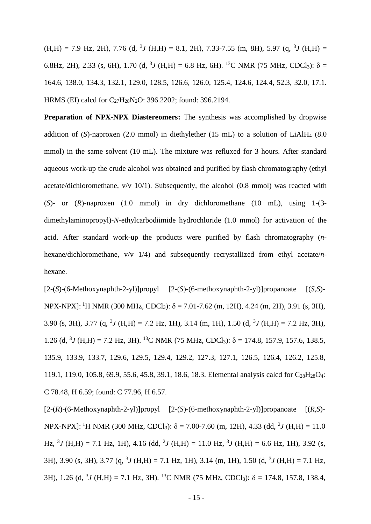$(H,H) = 7.9$  Hz, 2H), 7.76 (d, <sup>3</sup>*J* (H,H) = 8.1, 2H), 7.33-7.55 (m, 8H), 5.97 (q, <sup>3</sup>*J* (H,H) = 6.8Hz, 2H), 2.33 (s, 6H), 1.70 (d, <sup>3</sup>J (H,H) = 6.8 Hz, 6H). <sup>13</sup>C NMR (75 MHz, CDCl<sub>3</sub>):  $\delta$  = 164.6, 138.0, 134.3, 132.1, 129.0, 128.5, 126.6, 126.0, 125.4, 124.6, 124.4, 52.3, 32.0, 17.1. HRMS (EI) calcd for C27H28N2O: 396.2202; found: 396.2194.

**Preparation of NPX-NPX Diastereomers:** The synthesis was accomplished by dropwise addition of  $(S)$ -naproxen  $(2.0 \text{ mmol})$  in diethylether  $(15 \text{ mL})$  to a solution of LiAlH<sub>4</sub>  $(8.0 \text{ m})$ mmol) in the same solvent (10 mL). The mixture was refluxed for 3 hours. After standard aqueous work-up the crude alcohol was obtained and purified by flash chromatography (ethyl acetate/dichloromethane, v/v 10/1). Subsequently, the alcohol (0.8 mmol) was reacted with (*S*)- or (*R*)-naproxen (1.0 mmol) in dry dichloromethane (10 mL), using 1-(3 dimethylaminopropyl)-*N*-ethylcarbodiimide hydrochloride (1.0 mmol) for activation of the acid. After standard work-up the products were purified by flash chromatography (*n*hexane/dichloromethane, v/v 1/4) and subsequently recrystallized from ethyl acetate/*n*hexane.

[2-(*S*)-(6-Methoxynaphth-2-yl)]propyl [2-(*S*)-(6-methoxynaphth-2-yl)]propanoate [(*S*,*S*)-  $NPX-NPX$ ]: <sup>1</sup>H NMR (300 MHz, CDCl<sub>3</sub>):  $\delta$  = 7.01-7.62 (m, 12H), 4.24 (m, 2H), 3.91 (s, 3H), 3.90 (s, 3H), 3.77 (q, <sup>3</sup>*J* (H,H) = 7.2 Hz, 1H), 3.14 (m, 1H), 1.50 (d, <sup>3</sup>*J* (H,H) = 7.2 Hz, 3H), 1.26 (d,  $3J$  (H,H) = 7.2 Hz, 3H). <sup>13</sup>C NMR (75 MHz, CDCl<sub>3</sub>):  $\delta$  = 174.8, 157.9, 157.6, 138.5, 135.9, 133.9, 133.7, 129.6, 129.5, 129.4, 129.2, 127.3, 127.1, 126.5, 126.4, 126.2, 125.8, 119.1, 119.0, 105.8, 69.9, 55.6, 45.8, 39.1, 18.6, 18.3. Elemental analysis calcd for C28H28O4: C 78.48, H 6.59; found: C 77.96, H 6.57.

[2-(*R*)-(6-Methoxynaphth-2-yl)]propyl [2-(*S*)-(6-methoxynaphth-2-yl)]propanoate [(*R*,*S*)- NPX-NPX]: <sup>1</sup>H NMR (300 MHz, CDCl<sub>3</sub>):  $\delta$  = 7.00-7.60 (m, 12H), 4.33 (dd, <sup>2</sup>J (H,H) = 11.0 Hz, <sup>3</sup>J (H,H) = 7.1 Hz, 1H), 4.16 (dd, <sup>2</sup>J (H,H) = 11.0 Hz, <sup>3</sup>J (H,H) = 6.6 Hz, 1H), 3.92 (s, 3H), 3.90 (s, 3H), 3.77 (q, <sup>3</sup> *J* (H,H) = 7.1 Hz, 1H), 3.14 (m, 1H), 1.50 (d, <sup>3</sup> *J* (H,H) = 7.1 Hz, 3H), 1.26 (d, <sup>3</sup>J (H,H) = 7.1 Hz, 3H). <sup>13</sup>C NMR (75 MHz, CDCl<sub>3</sub>):  $\delta$  = 174.8, 157.8, 138.4,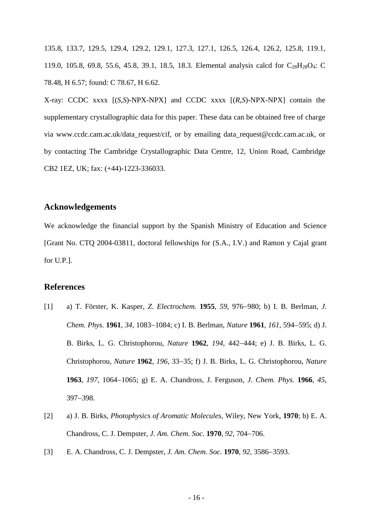135.8, 133.7, 129.5, 129.4, 129.2, 129.1, 127.3, 127.1, 126.5, 126.4, 126.2, 125.8, 119.1, 119.0, 105.8, 69.8, 55.6, 45.8, 39.1, 18.5, 18.3. Elemental analysis calcd for C28H28O4: C 78.48, H 6.57; found: C 78.67, H 6.62.

X-ray: CCDC xxxx [(*S*,*S*)-NPX-NPX] and CCDC xxxx [(*R*,*S*)-NPX-NPX] contain the supplementary crystallographic data for this paper. These data can be obtained free of charge via www.ccdc.cam.ac.uk/data\_request/cif, or by emailing data\_request@ccdc.cam.ac.uk, or by contacting The Cambridge Crystallographic Data Centre, 12, Union Road, Cambridge CB2 1EZ, UK; fax: (+44)-1223-336033.

## **Acknowledgements**

We acknowledge the financial support by the Spanish Ministry of Education and Science [Grant No. CTQ 2004-03811, doctoral fellowships for (S.A., I.V.) and Ramon y Cajal grant for U.P.].

## **References**

- [1] a) T. Förster, K. Kasper, *Z. Electrochem.* **1955**, *59*, 976−980; b) I. B. Berlman, *J. Chem. Phys.* **1961**, *34*, 1083−1084; c) I. B. Berlman, *Nature* **1961**, *161*, 594−595; d) J. B. Birks, L. G. Christophorou, *Nature* **1962**, *194*, 442−444; e) J. B. Birks, L. G. Christophorou, *Nature* **1962**, *196*, 33−35; f) J. B. Birks, L. G. Christophorou, *Nature*  **1963**, *197*, 1064−1065; g) E. A. Chandross, J. Ferguson, *J. Chem. Phys.* **1966**, *45*, 397−398.
- [2] a) J. B. Birks, *Photophysics of Aromatic Molecules*, Wiley, New York, **1970**; b) E. A. Chandross, C. J. Dempster, *J. Am. Chem. Soc.* **1970**, *92*, 704−706.
- [3] E. A. Chandross, C. J. Dempster, *J. Am. Chem. Soc.* **1970**, *92*, 3586−3593.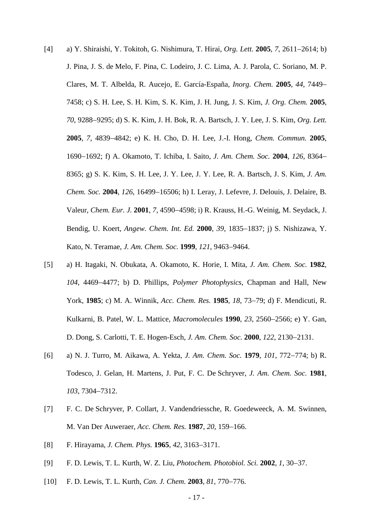- [4] a) Y. Shiraishi, Y. Tokitoh, G. Nishimura, T. Hirai, *Org. Lett.* **2005**, *7*, 2611−2614; b) J. Pina, J. S. de Melo, F. Pina, C. Lodeiro, J. C. Lima, A. J. Parola, C. Soriano, M. P. Clares, M. T. Albelda, R. Aucejo, E. García-España, *Inorg. Chem.* **2005**, *44*, 7449− 7458; c) S. H. Lee, S. H. Kim, S. K. Kim, J. H. Jung, J. S. Kim, *J. Org. Chem.* **2005**, *70*, 9288−9295; d) S. K. Kim, J. H. Bok, R. A. Bartsch, J. Y. Lee, J. S. Kim, *Org. Lett.*  **2005**, *7*, 4839−4842; e) K. H. Cho, D. H. Lee, J.-I. Hong, *Chem. Commun.* **2005**, 1690−1692; f) A. Okamoto, T. Ichiba, I. Saito, *J. Am. Chem. Soc.* **2004**, *126*, 8364− 8365; g) S. K. Kim, S. H. Lee, J. Y. Lee, J. Y. Lee, R. A. Bartsch, J. S. Kim, *J. Am. Chem. Soc.* **2004**, *126*, 16499−16506; h) I. Leray, J. Lefevre, J. Delouis, J. Delaire, B. Valeur, *Chem. Eur. J.* **2001**, *7*, 4590−4598; i) R. Krauss, H.-G. Weinig, M. Seydack, J. Bendig, U. Koert, *Angew. Chem. Int. Ed.* **2000**, *39*, 1835−1837; j) S. Nishizawa, Y. Kato, N. Teramae, *J. Am. Chem. Soc.* **1999**, *121*, 9463−9464.
- [5] a) H. Itagaki, N. Obukata, A. Okamoto, K. Horie, I. Mita, *J. Am. Chem. Soc.* **1982**, *104*, 4469−4477; b) D. Phillips, *Polymer Photophysics*, Chapman and Hall, New York, **1985**; c) M. A. Winnik, *Acc. Chem. Res.* **1985**, *18*, 73−79; d) F. Mendicuti, R. Kulkarni, B. Patel, W. L. Mattice, *Macromolecules* **1990**, *23*, 2560−2566; e) Y. Gan, D. Dong, S. Carlotti, T. E. Hogen-Esch, *J. Am. Chem. Soc.* **2000**, *122*, 2130−2131.
- [6] a) N. J. Turro, M. Aikawa, A. Yekta, *J. Am. Chem. Soc.* **1979**, *101*, 772−774; b) R. Todesco, J. Gelan, H. Martens, J. Put, F. C. De Schryver, *J. Am. Chem. Soc.* **1981**, *103*, 7304−7312.
- [7] F. C. De Schryver, P. Collart, J. Vandendriessche, R. Goedeweeck, A. M. Swinnen, M. Van Der Auweraer, *Acc. Chem. Res.* **1987**, *20*, 159−166.
- [8] F. Hirayama, *J. Chem. Phys.* **1965**, *42*, 3163−3171.
- [9] F. D. Lewis, T. L. Kurth, W. Z. Liu, *Photochem. Photobiol. Sci.* **2002**, *1*, 30−37.
- [10] F. D. Lewis, T. L. Kurth, *Can. J. Chem.* **2003**, *81*, 770−776.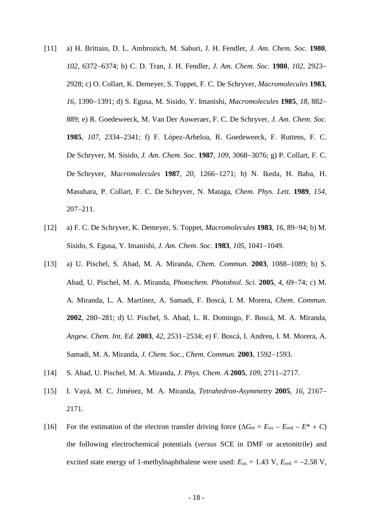- [11] a) H. Brittain, D. L. Ambrozich, M. Saburi, J. H. Fendler, *J. Am. Chem. Soc.* **1980**, *102*, 6372−6374; b) C. D. Tran, J. H. Fendler, *J. Am. Chem. Soc.* **1980**, *102*, 2923− 2928; c) O. Collart, K. Demeyer, S. Toppet, F. C. De Schryver, *Macromolecules* **1983**, *16*, 1390−1391; d) S. Egusa, M. Sisido, Y. Imanishi, *Macromolecules* **1985**, *18*, 882− 889; e) R. Goedeweeck, M. Van Der Auweraer, F. C. De Schryver, *J. Am. Chem. Soc.*  **1985**, *107*, 2334−2341; f) F. López-Arbeloa, R. Goedeweeck, F. Ruttens, F. C. De Schryver, M. Sisido, *J. Am. Chem. Soc.* **1987**, *109*, 3068−3076; g) P. Collart, F. C. De Schryver, *Macromolecules* **1987**, *20*, 1266−1271; h) N. Ikeda, H. Baba, H. Masuhara, P. Collart, F. C. De Schryver, N. Mataga, *Chem. Phys. Lett.* **1989**, *154*, 207−211.
- [12] a) F. C. De Schryver, K. Demeyer, S. Toppet, *Macromolecules* **1983**, *16*, 89−94; b) M. Sisido, S. Egusa, Y. Imanishi, *J. Am. Chem. Soc.* **1983**, *105*, 1041−1049.
- [13] a) U. Pischel, S. Abad, M. A. Miranda, *Chem. Commun.* **2003**, 1088−1089; b) S. Abad, U. Pischel, M. A. Miranda, *Photochem. Photobiol. Sci.* **2005**, *4*, 69−74; c) M. A. Miranda, L. A. Martínez, A. Samadi, F. Boscá, I. M. Morera, *Chem. Commun.*  **2002**, 280−281; d) U. Pischel, S. Abad, L. R. Domingo, F. Boscá, M. A. Miranda, *Angew. Chem. Int. Ed.* **2003**, *42*, 2531−2534; e) F. Boscá, I. Andreu, I. M. Morera, A. Samadi, M. A. Miranda, *J. Chem. Soc., Chem. Commun.* **2003**, 1592−1593.
- [14] S. Abad, U. Pischel, M. A. Miranda, *J. Phys. Chem. A* **2005**, *109*, 2711−2717.
- [15] I. Vayá, M. C. Jiménez, M. A. Miranda, *Tetrahedron-Asymmetry* **2005**, *16*, 2167− 2171.
- [16] For the estimation of the electron transfer driving force  $(\Delta G_{\text{et}} = E_{\text{ox}} E_{\text{red}} E^* + C)$ the following electrochemical potentials (*versus* SCE in DMF or acetonitrile) and excited state energy of 1-methylnaphthalene were used:  $E_{ox} = 1.43$  V,  $E_{red} = -2.58$  V,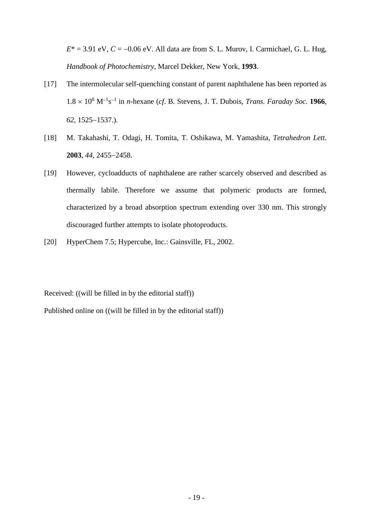$E^* = 3.91$  eV,  $C = -0.06$  eV. All data are from S. L. Murov, I. Carmichael, G. L. Hug, *Handbook of Photochemistry*, Marcel Dekker, New York, **1993**.

- [17] The intermolecular self-quenching constant of parent naphthalene has been reported as 1.8 × 10<sup>8</sup> M<sup>−</sup><sup>1</sup> s<sup>−</sup><sup>1</sup> in *n*-hexane (*cf*. B. Stevens, J. T. Dubois, *Trans. Faraday Soc.* **1966**, *62*, 1525−1537.).
- [18] M. Takahashi, T. Odagi, H. Tomita, T. Oshikawa, M. Yamashita, *Tetrahedron Lett.*  **2003**, *44*, 2455−2458.
- [19] However, cycloadducts of naphthalene are rather scarcely observed and described as thermally labile. Therefore we assume that polymeric products are formed, characterized by a broad absorption spectrum extending over 330 nm. This strongly discouraged further attempts to isolate photoproducts.
- [20] HyperChem 7.5; Hypercube, Inc.: Gainsville, FL, 2002.

Received: ((will be filled in by the editorial staff))

Published online on ((will be filled in by the editorial staff))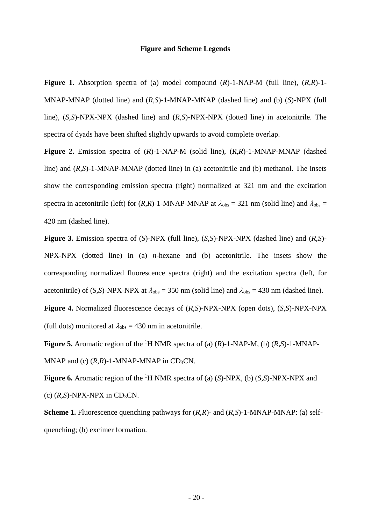#### **Figure and Scheme Legends**

**Figure 1.** Absorption spectra of (a) model compound (*R*)-1-NAP-M (full line), (*R*,*R*)-1- MNAP-MNAP (dotted line) and (*R*,*S*)-1-MNAP-MNAP (dashed line) and (b) (*S*)-NPX (full line), (*S*,*S*)-NPX-NPX (dashed line) and (*R*,*S*)-NPX-NPX (dotted line) in acetonitrile. The spectra of dyads have been shifted slightly upwards to avoid complete overlap.

**Figure 2.** Emission spectra of (*R*)-1-NAP-M (solid line), (*R*,*R*)-1-MNAP-MNAP (dashed line) and (*R*,*S*)-1-MNAP-MNAP (dotted line) in (a) acetonitrile and (b) methanol. The insets show the corresponding emission spectra (right) normalized at 321 nm and the excitation spectra in acetonitrile (left) for  $(R,R)$ -1-MNAP-MNAP at  $\lambda_{obs} = 321$  nm (solid line) and  $\lambda_{obs} =$ 420 nm (dashed line).

**Figure 3.** Emission spectra of (*S*)-NPX (full line), (*S*,*S*)-NPX-NPX (dashed line) and (*R*,*S*)- NPX-NPX (dotted line) in (a) *n*-hexane and (b) acetonitrile. The insets show the corresponding normalized fluorescence spectra (right) and the excitation spectra (left, for acetonitrile) of (*S*,*S*)-NPX-NPX at  $\lambda_{obs} = 350$  nm (solid line) and  $\lambda_{obs} = 430$  nm (dashed line).

**Figure 4.** Normalized fluorescence decays of (*R*,*S*)-NPX-NPX (open dots), (*S*,*S*)-NPX-NPX (full dots) monitored at  $\lambda_{obs} = 430$  nm in acetonitrile.

**Figure 5.** Aromatic region of the 1 H NMR spectra of (a) (*R*)-1-NAP-M, (b) (*R*,*S*)-1-MNAP-MNAP and (c)  $(R,R)$ -1-MNAP-MNAP in CD<sub>3</sub>CN.

**Figure 6.** Aromatic region of the 1 H NMR spectra of (a) (*S*)-NPX, (b) (*S*,*S*)-NPX-NPX and (c)  $(R, S)$ -NPX-NPX in CD<sub>3</sub>CN.

**Scheme 1.** Fluorescence quenching pathways for (*R*,*R*)- and (*R*,*S*)-1-MNAP-MNAP: (a) selfquenching; (b) excimer formation.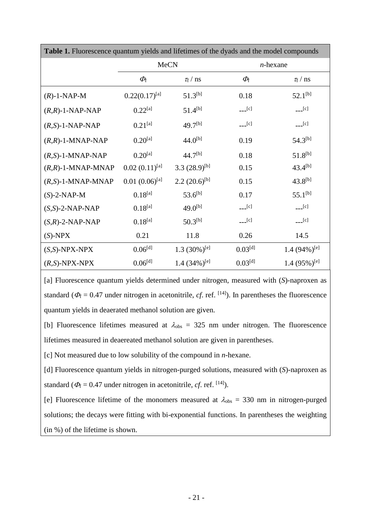| Table 1. Fluorescence quantum yields and lifetimes of the dyads and the model compounds |                      |                             |                                                                                                                                                                                                                                                                                                                                                     |                                                                                                                                                                                                                                                                                                                                                     |
|-----------------------------------------------------------------------------------------|----------------------|-----------------------------|-----------------------------------------------------------------------------------------------------------------------------------------------------------------------------------------------------------------------------------------------------------------------------------------------------------------------------------------------------|-----------------------------------------------------------------------------------------------------------------------------------------------------------------------------------------------------------------------------------------------------------------------------------------------------------------------------------------------------|
|                                                                                         | <b>MeCN</b>          |                             | $n$ -hexane                                                                                                                                                                                                                                                                                                                                         |                                                                                                                                                                                                                                                                                                                                                     |
|                                                                                         | $\varPhi_{\text{f}}$ | $\tau_{\rm f}$ / ns         | $\varPhi_{\text{f}}$                                                                                                                                                                                                                                                                                                                                | $\tau_{\rm f}$ / ns                                                                                                                                                                                                                                                                                                                                 |
| $(R)$ -1-NAP-M                                                                          | $0.22(0.17)^{[a]}$   | $51.3^{[b]}$                | 0.18                                                                                                                                                                                                                                                                                                                                                | $52.1^{[b]}$                                                                                                                                                                                                                                                                                                                                        |
| $(R,R)$ -1-NAP-NAP                                                                      | $0.22^{[a]}$         | $51.4^{[b]}$                | $\overline{c}$ = $\overline{c}$ = $\overline{c}$ = $\overline{c}$ = $\overline{c}$ = $\overline{c}$ = $\overline{c}$ = $\overline{c}$ = $\overline{c}$ = $\overline{c}$ = $\overline{c}$ = $\overline{c}$ = $\overline{c}$ = $\overline{c}$ = $\overline{c}$ = $\overline{c}$ = $\overline{c}$ = $\overline{c}$ = $\overline{c}$ = $\overline{c}$ = | $\left[-\right]$                                                                                                                                                                                                                                                                                                                                    |
| $(R, S)$ -1-NAP-NAP                                                                     | $0.21^{[a]}$         | 49.7 <sup>[b]</sup>         | $\begin{bmatrix} 1 \end{bmatrix}$                                                                                                                                                                                                                                                                                                                   | $\begin{bmatrix} 1 \end{bmatrix}$                                                                                                                                                                                                                                                                                                                   |
| $(R,R)-1-MNAP-NAP$                                                                      | $0.20^{[a]}$         | $44.0^{[b]}$                | 0.19                                                                                                                                                                                                                                                                                                                                                | $54.3^{[b]}$                                                                                                                                                                                                                                                                                                                                        |
| $(R, S)$ -1-MNAP-NAP                                                                    | $0.20^{[a]}$         | $44.7^{[b]}$                | 0.18                                                                                                                                                                                                                                                                                                                                                | $51.8^{[b]}$                                                                                                                                                                                                                                                                                                                                        |
| $(R,R)$ -1-MNAP-MNAP                                                                    | $0.02 (0.11)^{[a]}$  | 3.3 $(28.9)^{[b]}$          | 0.15                                                                                                                                                                                                                                                                                                                                                | $43.4^{[b]}$                                                                                                                                                                                                                                                                                                                                        |
| $(R, S)$ -1-MNAP-MNAP                                                                   | $0.01 (0.06)^{[a]}$  | $2.2(20.6)^{[b]}$           | 0.15                                                                                                                                                                                                                                                                                                                                                | $43.8^{[b]}$                                                                                                                                                                                                                                                                                                                                        |
| $(S)$ -2-NAP-M                                                                          | $0.18^{[a]}$         | $53.6^{[b]}$                | 0.17                                                                                                                                                                                                                                                                                                                                                | $55.1^{[b]}$                                                                                                                                                                                                                                                                                                                                        |
| $(S, S)$ -2-NAP-NAP                                                                     | $0.18^{[a]}$         | $49.0^{[b]}$                | $---[c]$                                                                                                                                                                                                                                                                                                                                            | $\left[ c \right]$                                                                                                                                                                                                                                                                                                                                  |
| $(S,R)$ -2-NAP-NAP                                                                      | $0.18^{[a]}$         | $50.3^{[b]}$                | $\begin{bmatrix} 1 \\ -1 \end{bmatrix}$                                                                                                                                                                                                                                                                                                             | $\overline{c}$ = $\overline{c}$ = $\overline{c}$ = $\overline{c}$ = $\overline{c}$ = $\overline{c}$ = $\overline{c}$ = $\overline{c}$ = $\overline{c}$ = $\overline{c}$ = $\overline{c}$ = $\overline{c}$ = $\overline{c}$ = $\overline{c}$ = $\overline{c}$ = $\overline{c}$ = $\overline{c}$ = $\overline{c}$ = $\overline{c}$ = $\overline{c}$ = |
| $(S)$ -NPX                                                                              | 0.21                 | 11.8                        | 0.26                                                                                                                                                                                                                                                                                                                                                | 14.5                                                                                                                                                                                                                                                                                                                                                |
| $(S, S)$ -NPX-NPX                                                                       | $0.06^{[d]}$         | $1.3 (30\%)^{[e]}$          | $0.03^{[d]}$                                                                                                                                                                                                                                                                                                                                        | 1.4 $(94\%)$ <sup>[e]</sup>                                                                                                                                                                                                                                                                                                                         |
| $(R, S)$ -NPX-NPX                                                                       | $0.06^{[d]}$         | 1.4 $(34\%)$ <sup>[e]</sup> | $0.03^{[d]}$                                                                                                                                                                                                                                                                                                                                        | 1.4 $(95\%)^{[e]}$                                                                                                                                                                                                                                                                                                                                  |

[a] Fluorescence quantum yields determined under nitrogen, measured with (*S*)-naproxen as standard ( $\Phi_f = 0.47$  under nitrogen in acetonitrile, *cf.* ref. <sup>[14]</sup>). In parentheses the fluorescence quantum yields in deaerated methanol solution are given.

[b] Fluorescence lifetimes measured at  $\lambda_{obs} = 325$  nm under nitrogen. The fluorescence lifetimes measured in deaereated methanol solution are given in parentheses.

[c] Not measured due to low solubility of the compound in *n*-hexane.

[d] Fluorescence quantum yields in nitrogen-purged solutions, measured with (*S*)-naproxen as standard ( $\Phi_f = 0.47$  under nitrogen in acetonitrile, *cf*. ref. <sup>[14]</sup>).

[e] Fluorescence lifetime of the monomers measured at  $\lambda_{obs} = 330$  nm in nitrogen-purged solutions; the decays were fitting with bi-exponential functions. In parentheses the weighting (in %) of the lifetime is shown.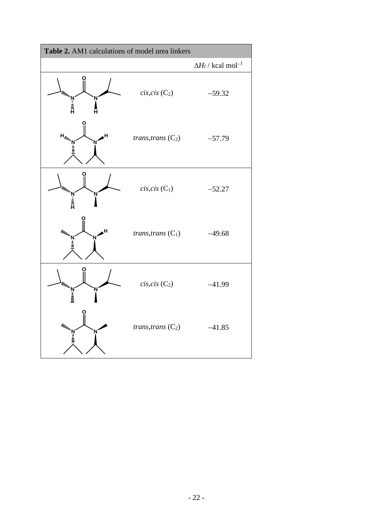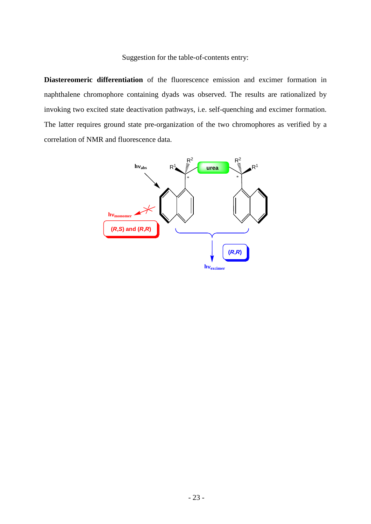**Diastereomeric differentiation** of the fluorescence emission and excimer formation in naphthalene chromophore containing dyads was observed. The results are rationalized by invoking two excited state deactivation pathways, i.e. self-quenching and excimer formation. The latter requires ground state pre-organization of the two chromophores as verified by a correlation of NMR and fluorescence data.

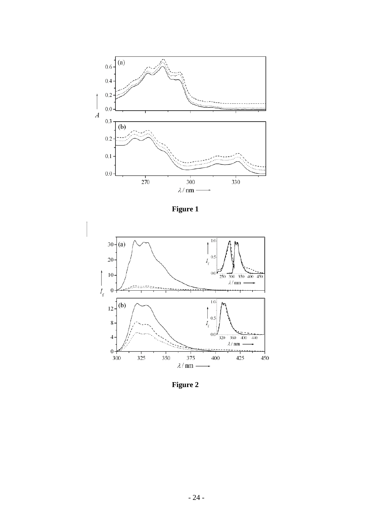

**Figure 1**



**Figure 2**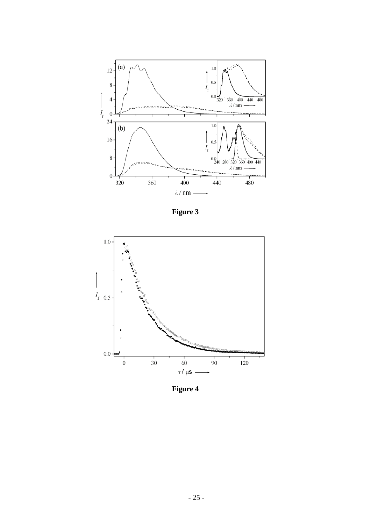

**Figure 3**



**Figure 4**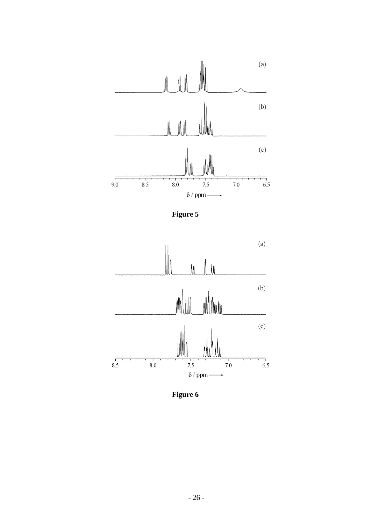

**Figure 5**



**Figure 6**